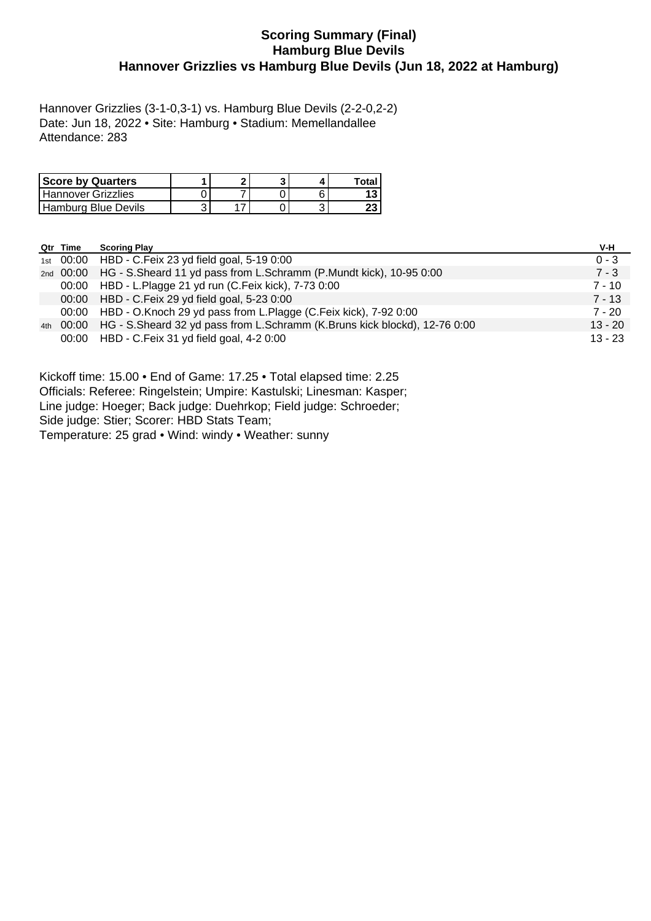### **Scoring Summary (Final) Hamburg Blue Devils Hannover Grizzlies vs Hamburg Blue Devils (Jun 18, 2022 at Hamburg)**

Hannover Grizzlies (3-1-0,3-1) vs. Hamburg Blue Devils (2-2-0,2-2) Date: Jun 18, 2022 • Site: Hamburg • Stadium: Memellandallee Attendance: 283

| <b>Score by Quarters</b> | ິ |  | Total |
|--------------------------|---|--|-------|
| Hannover Grizzlies       |   |  |       |
| Hamburg Blue Devils      |   |  | ΔJ    |

|     | Qtr Time | <b>Scoring Play</b>                                                             | V-H       |
|-----|----------|---------------------------------------------------------------------------------|-----------|
|     |          | 1st 00:00 HBD - C. Feix 23 yd field goal, 5-19 0:00                             | $0 - 3$   |
|     |          | 2nd 00:00 HG - S. Sheard 11 yd pass from L. Schramm (P. Mundt kick), 10-95 0:00 | $7 - 3$   |
|     |          | 00:00 HBD - L.Plagge 21 yd run (C.Feix kick), 7-73 0:00                         | $7 - 10$  |
|     |          | 00:00 HBD - C. Feix 29 yd field goal, 5-23 0:00                                 | $7 - 13$  |
|     |          | 00:00 HBD - O.Knoch 29 yd pass from L.Plagge (C.Feix kick), 7-92 0:00           | 7 - 20    |
| 4th |          | 00:00 HG - S.Sheard 32 yd pass from L.Schramm (K.Bruns kick blockd), 12-76 0:00 | $13 - 20$ |
|     |          | 00:00 HBD - C. Feix 31 yd field goal, 4-2 0:00                                  | $13 - 23$ |

Kickoff time: 15.00 • End of Game: 17.25 • Total elapsed time: 2.25 Officials: Referee: Ringelstein; Umpire: Kastulski; Linesman: Kasper; Line judge: Hoeger; Back judge: Duehrkop; Field judge: Schroeder;

Side judge: Stier; Scorer: HBD Stats Team;

Temperature: 25 grad • Wind: windy • Weather: sunny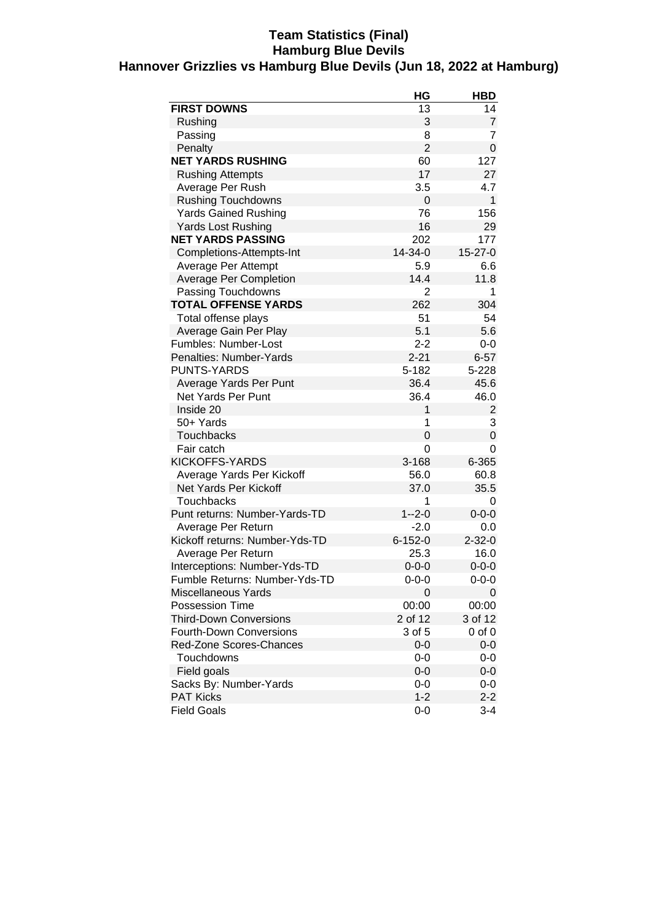### **Team Statistics (Final) Hamburg Blue Devils Hannover Grizzlies vs Hamburg Blue Devils (Jun 18, 2022 at Hamburg)**

|                                | HG             | <b>HBD</b>     |
|--------------------------------|----------------|----------------|
| <b>FIRST DOWNS</b>             | 13             | 14             |
| Rushing                        | 3              | 7              |
| Passing                        | 8              | 7              |
| Penalty                        | $\overline{2}$ | 0              |
| <b>NET YARDS RUSHING</b>       | 60             | 127            |
| <b>Rushing Attempts</b>        | 17             | 27             |
| Average Per Rush               | 3.5            | 4.7            |
| <b>Rushing Touchdowns</b>      | 0              | 1              |
| <b>Yards Gained Rushing</b>    | 76             | 156            |
| <b>Yards Lost Rushing</b>      | 16             | 29             |
| <b>NET YARDS PASSING</b>       | 202            | 177            |
| Completions-Attempts-Int       | 14-34-0        | $15 - 27 - 0$  |
| Average Per Attempt            | 5.9            | 6.6            |
| <b>Average Per Completion</b>  | 14.4           | 11.8           |
| Passing Touchdowns             | 2              | 1              |
| <b>TOTAL OFFENSE YARDS</b>     | 262            | 304            |
| Total offense plays            | 51             | 54             |
| Average Gain Per Play          | 5.1            | 5.6            |
| Fumbles: Number-Lost           | $2 - 2$        | 0-0            |
| Penalties: Number-Yards        | $2 - 21$       | $6 - 57$       |
| <b>PUNTS-YARDS</b>             | 5-182          | 5-228          |
| Average Yards Per Punt         | 36.4           | 45.6           |
| <b>Net Yards Per Punt</b>      | 36.4           | 46.0           |
| Inside 20                      | 1              | $\overline{c}$ |
| 50+ Yards                      | 1              | 3              |
| <b>Touchbacks</b>              | 0              | 0              |
| Fair catch                     | $\Omega$       | 0              |
| KICKOFFS-YARDS                 | 3-168          | 6-365          |
| Average Yards Per Kickoff      | 56.0           | 60.8           |
| Net Yards Per Kickoff          | 37.0           | 35.5           |
| <b>Touchbacks</b>              | 1              | 0              |
| Punt returns: Number-Yards-TD  | $1 - 2 - 0$    | $0 - 0 - 0$    |
| Average Per Return             | $-2.0$         | 0.0            |
| Kickoff returns: Number-Yds-TD | $6 - 152 - 0$  | $2 - 32 - 0$   |
| Average Per Return             | 25.3           | 16.0           |
| Interceptions: Number-Yds-TD   | $0 - 0 - 0$    | $0 - 0 - 0$    |
| Fumble Returns: Number-Yds-TD  | ი-ი-ი          | 0-0-0          |
| <b>Miscellaneous Yards</b>     | 0              | 0              |
| <b>Possession Time</b>         | 00:00          | 00:00          |
| <b>Third-Down Conversions</b>  | 2 of 12        | 3 of 12        |
| <b>Fourth-Down Conversions</b> | 3 of 5         | 0 of 0         |
| Red-Zone Scores-Chances        | $0-0$          | $0-0$          |
| Touchdowns                     | $0 - 0$        | 0-0            |
| Field goals                    | $0-0$          | 0-0            |
| Sacks By: Number-Yards         | $0 - 0$        | 0-0            |
| <b>PAT Kicks</b>               | $1 - 2$        | $2 - 2$        |
| <b>Field Goals</b>             | $0 - 0$        | $3 - 4$        |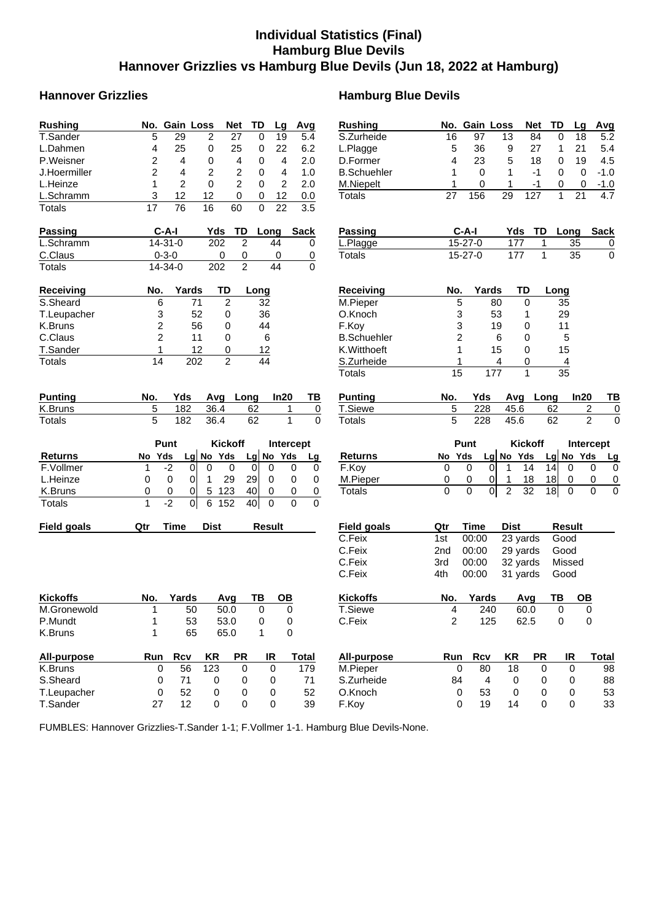# **Individual Statistics (Final) Hamburg Blue Devils Hannover Grizzlies vs Hamburg Blue Devils (Jun 18, 2022 at Hamburg)**

# **Hannover Grizzlies Hamburg Blue Devils**

| <b>Rushing</b>     | No. Gain Loss<br>TD<br><b>Net</b><br>Avg<br>Lg                                                       | <b>Rushing</b>     |                 | No. Gain Loss     | <b>Net</b>           | TD                         | Avg<br>Lg                     |
|--------------------|------------------------------------------------------------------------------------------------------|--------------------|-----------------|-------------------|----------------------|----------------------------|-------------------------------|
| T.Sander           | 5<br>29<br>2<br>27<br>0<br>19<br>5.4                                                                 | S.Zurheide         | 16              | 97                | 13<br>84             | 0                          | 18<br>5.2                     |
| L.Dahmen           | 4<br>25<br>25<br>0<br>22<br>6.2<br>0                                                                 | L.Plagge           | 5               | 36                | 9<br>27              | 1                          | 21<br>5.4                     |
| P.Weisner          | 2<br>$\overline{4}$<br>4<br>2.0<br>0<br>4<br>0                                                       | D.Former           | 4               | 23                | 5<br>18              | 0                          | 19<br>4.5                     |
| J.Hoermiller       | $\overline{c}$<br>$\overline{c}$<br>2<br>4<br>4<br>1.0<br>0                                          | <b>B.Schuehler</b> | 1               | $\Omega$          | $\mathbf{1}$<br>$-1$ | $\Omega$                   | 0<br>$-1.0$                   |
| L.Heinze           | $\overline{c}$<br>$\overline{2}$<br>$\mathbf 0$<br>$\overline{c}$<br>2.0<br>1<br>0                   | M.Niepelt          | 1               | 0                 | 1<br>$-1$            | 0                          | $-1.0$<br>0                   |
| L.Schramm          | 3<br>12<br>12<br>0<br>12<br>0<br>0.0                                                                 | <b>Totals</b>      | 27              | 156               | 29<br>127            | $\mathbf{1}$               | 4.7<br>21                     |
| <b>Totals</b>      | $\overline{76}$<br>$\overline{16}$<br>$\overline{22}$<br>$\overline{3.5}$<br>17<br>60<br>$\mathbf 0$ |                    |                 |                   |                      |                            |                               |
| <b>Passing</b>     | $C-A-I$<br>Yds<br>TD<br><b>Sack</b><br>Long                                                          | Passing            |                 | $C-A-I$           | Yds                  | TD<br>Long                 | <b>Sack</b>                   |
| L.Schramm          | $\overline{2}$<br>14-31-0<br>202<br>44<br>0                                                          | L.Plagge           |                 | 15-27-0           | 177                  | 35<br>1                    | $\overline{0}$                |
| C.Claus            | $0 - 3 - 0$<br>0<br>$\overline{0}$<br>0<br>$\overline{0}$                                            | <b>Totals</b>      |                 | 15-27-0           | 177                  | 35<br>$\mathbf{1}$         | $\mathsf 0$                   |
| <b>Totals</b>      | $\overline{2}$<br>14-34-0<br>202<br>44<br>$\Omega$                                                   |                    |                 |                   |                      |                            |                               |
| <b>Receiving</b>   | <b>TD</b><br>No.<br>Yards<br>Long                                                                    | <b>Receiving</b>   | No.             | Yards             | TD                   | Long                       |                               |
| S.Sheard           | 71<br>2<br>6<br>32                                                                                   | M.Pieper           | 5               |                   | 80<br>0              | 35                         |                               |
| T.Leupacher        | 3<br>52<br>0<br>36                                                                                   | O.Knoch            | 3               |                   | 53<br>1              | 29                         |                               |
| K.Bruns            | 2<br>56<br>0<br>44                                                                                   | F.Kov              | 3               |                   | 19<br>0              | 11                         |                               |
| C.Claus            | $\overline{c}$<br>0<br>6<br>11                                                                       | <b>B.Schuehler</b> | $\overline{c}$  |                   | 6<br>0               | 5                          |                               |
| T.Sander           | 1<br>12<br>0<br>12                                                                                   | K.Witthoeft        | 1               |                   | 15<br>0              | 15                         |                               |
| Totals             | $\overline{2}$<br>14<br>202<br>44                                                                    | S.Zurheide         | 1               |                   | 4<br>0               | $\overline{4}$             |                               |
|                    |                                                                                                      | <b>Totals</b>      | $\overline{15}$ | 177               | 1                    | 35                         |                               |
| <b>Punting</b>     | In20<br>No.<br>Yds<br>Avg Long<br>TВ                                                                 | <b>Punting</b>     | No.             | Yds               | Avg                  | Long                       | In20<br>TВ                    |
| K.Bruns            | 5<br>62<br>182<br>36.4<br>1<br>$\overline{0}$                                                        | T.Siewe            | 5               | 228               | 45.6                 | 62                         | $\overline{\mathbf{c}}$<br>0  |
| <b>Totals</b>      | $\overline{0}$<br>5<br>1<br>182<br>36.4<br>62                                                        | <b>Totals</b>      | 5               | 228               | 45.6                 | 62                         | $\overline{2}$<br>$\mathbf 0$ |
|                    |                                                                                                      |                    |                 |                   |                      |                            |                               |
|                    | Punt<br><b>Kickoff</b><br>Intercept                                                                  |                    |                 | Punt              | <b>Kickoff</b>       |                            | Intercept                     |
| <b>Returns</b>     | No Yds<br>Yds<br>No Yds<br>No<br>Lg<br>Lg<br>Lg                                                      | <b>Returns</b>     | No              | Yds<br>Lg         | No Yds               | No Yds<br>Lg               | $\overline{Lg}$               |
| F.Vollmer          | $-2$<br>1<br>0<br>0<br>0<br>$\mathbf 0$<br>0<br>0<br>0                                               | F.Koy              | 0               | 0<br>$\mathbf{0}$ | $\mathbf 1$<br>14    | 14<br>0                    | 0<br>0                        |
| L.Heinze           | $\overline{0}$<br>0<br>0<br>29<br>29<br>0<br>1<br>0<br>0                                             | M.Pieper           | 0               | 0<br>0            | 18<br>1              | 18<br>0                    | 0<br>$\overline{0}$           |
| K.Bruns            | 123<br>0<br>0<br>0<br>$\overline{0}$<br>5<br>40<br>0<br>$\overline{0}$                               | Totals             | $\overline{0}$  | 0<br>0            | $\overline{c}$<br>32 | 18<br>$\mathbf 0$          | 0<br>$\mathbf 0$              |
| Totals             | 1<br>$-2$<br>$\overline{0}$<br>6<br>152<br>40<br>$\mathbf 0$<br>$\Omega$<br>$\mathbf 0$              |                    |                 |                   |                      |                            |                               |
| <b>Field goals</b> | <b>Dist</b><br>Qtr<br><b>Time</b><br><b>Result</b>                                                   | <b>Field goals</b> | Qtr             | Time              | <b>Dist</b>          | <b>Result</b>              |                               |
|                    |                                                                                                      | C.Feix             | 1st             | 00:00             | 23 yards             | Good                       |                               |
|                    |                                                                                                      | C.Feix             | 2nd             | 00:00             | 29 yards             | Good                       |                               |
|                    |                                                                                                      | C.Feix             | 3rd             | 00:00             | 32 yards             | Missed                     |                               |
|                    |                                                                                                      | C.Feix             | 4th             | 00:00             | 31 yards             | Good                       |                               |
| <b>Kickoffs</b>    | TB<br>Yards<br><b>OB</b><br>No.<br>Avg                                                               | <b>Kickoffs</b>    | No.             | Yards             | Avg                  | TB                         | OВ                            |
| M.Gronewold        | 50<br>50.0<br>0<br>0<br>1                                                                            | T.Siewe            | $\overline{4}$  | 240               | 60.0                 | 0                          | 0                             |
| P.Mundt            | 53<br>53.0<br>1<br>0<br>0                                                                            | C.Feix             | $\overline{2}$  | 125               | 62.5                 | 0                          | $\Omega$                      |
| K.Bruns            | 1<br>65<br>65.0<br>0<br>$\mathbf 1$                                                                  |                    |                 |                   |                      |                            |                               |
| All-purpose        | <b>PR</b><br>Run<br><b>Rcv</b><br><b>KR</b><br>IR<br><b>Total</b>                                    | All-purpose        | Run             | <b>Rcv</b>        | <b>KR</b>            | <b>PR</b><br>IR            | <b>Total</b>                  |
| K.Bruns            | 56<br>123<br>$\pmb{0}$<br>179<br>0<br>$\mathbf 0$                                                    | M.Pieper           | 0               | 80                | 18                   | $\mathbf 0$<br>$\mathbf 0$ | 98                            |
| S.Sheard           | 71<br>$\mathbf 0$<br>0<br>0<br>0<br>71                                                               | S.Zurheide         | 84              | 4                 | 0                    | 0<br>0                     | 88                            |
| T.Leupacher        | 52<br>$\pmb{0}$<br>52<br>$\pmb{0}$<br>0<br>$\pmb{0}$                                                 | O.Knoch            | $\pmb{0}$       | 53                | $\mathbf 0$          | $\mathbf 0$<br>0           | 53                            |
| T.Sander           | 12<br>$\pmb{0}$<br>0<br>$\pmb{0}$<br>39<br>27                                                        | F.Koy              | $\mathbf 0$     | 19                | 14                   | 0<br>0                     | 33                            |

FUMBLES: Hannover Grizzlies-T.Sander 1-1; F.Vollmer 1-1. Hamburg Blue Devils-None.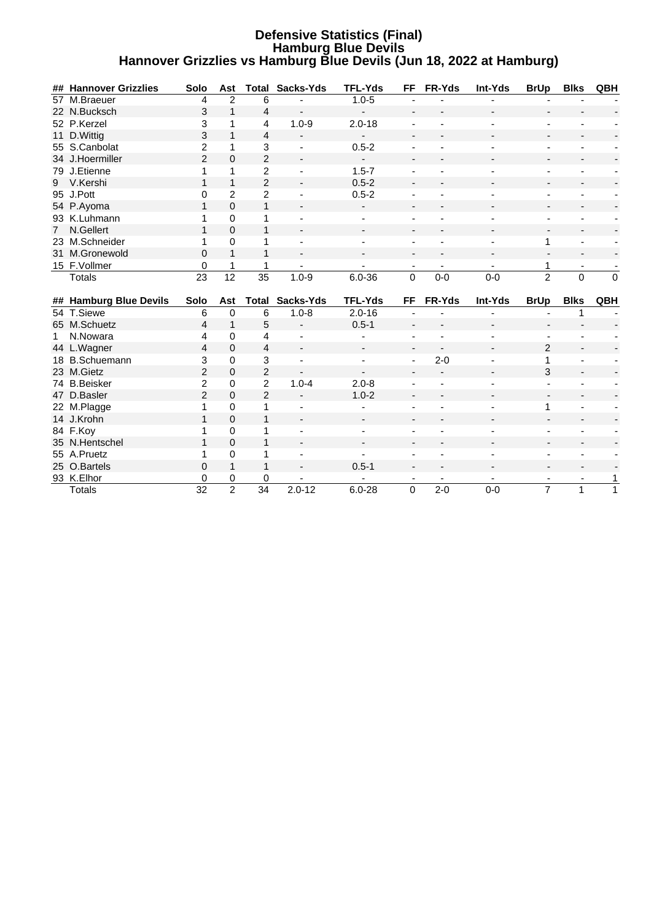#### **Defensive Statistics (Final) Hamburg Blue Devils Hannover Grizzlies vs Hamburg Blue Devils (Jun 18, 2022 at Hamburg)**

|             | ## Hannover Grizzlies  | Solo                 | Ast                 |                      | <b>Total Sacks-Yds</b> | <b>TFL-Yds</b>           | FF                       | FR-Yds                   | Int-Yds                  | <b>BrUp</b>                                | <b>Blks</b>              | QBH                      |
|-------------|------------------------|----------------------|---------------------|----------------------|------------------------|--------------------------|--------------------------|--------------------------|--------------------------|--------------------------------------------|--------------------------|--------------------------|
|             | 57 M.Braeuer           | 4                    | $\overline{c}$      | 6                    |                        | $1.0 - 5$                |                          |                          |                          |                                            |                          |                          |
|             | 22 N.Bucksch           | 3                    | $\overline{1}$      | 4                    |                        | $\overline{\phantom{a}}$ |                          |                          |                          |                                            |                          |                          |
|             | 52 P.Kerzel            | 3                    | 1                   | 4                    | $1.0 - 9$              | $2.0 - 18$               |                          |                          |                          |                                            |                          |                          |
|             | 11 D.Wittig            | 3                    | $\overline{1}$      | $\overline{4}$       |                        |                          |                          |                          |                          |                                            |                          |                          |
|             | 55 S.Canbolat          | $\overline{c}$       | 1                   | 3                    |                        | $0.5 - 2$                |                          |                          |                          |                                            |                          |                          |
|             | 34 J.Hoermiller        | $\overline{2}$       | $\Omega$            | $\overline{2}$       |                        | $\overline{\phantom{a}}$ |                          |                          |                          |                                            |                          |                          |
|             | 79 J.Etienne           | 1                    | 1                   | $\overline{2}$       |                        | $1.5 - 7$                |                          |                          |                          |                                            |                          |                          |
| 9           | V.Kershi               | 1                    | 1                   | $\overline{2}$       |                        | $0.5 - 2$                |                          |                          |                          |                                            |                          |                          |
|             | 95 J.Pott              | 0                    | $\overline{2}$      | $\overline{2}$       |                        | $0.5 - 2$                |                          |                          |                          |                                            |                          |                          |
|             | 54 P.Ayoma             | $\mathbf{1}$         | $\Omega$            | $\mathbf{1}$         |                        |                          |                          |                          |                          |                                            |                          |                          |
|             | 93 K.Luhmann           | 1                    | $\Omega$            | 1                    |                        |                          |                          |                          |                          |                                            |                          |                          |
| $7^{\circ}$ | N.Gellert              | 1                    | $\Omega$            | $\mathbf{1}$         |                        |                          |                          |                          |                          |                                            |                          |                          |
|             | 23 M.Schneider         | 1                    | $\Omega$            | 1                    |                        |                          |                          |                          |                          | 1                                          |                          |                          |
|             | 31 M.Gronewold         | 0                    |                     | 1                    |                        |                          |                          |                          |                          |                                            |                          |                          |
|             | 15 F.Vollmer           | 0                    |                     | 1                    |                        |                          | $\overline{\phantom{a}}$ |                          | $\overline{\phantom{a}}$ | 1                                          | $\overline{\phantom{a}}$ | $\overline{\phantom{a}}$ |
|             | <b>Totals</b>          | 23                   | 12                  | 35                   | $1.0 - 9$              | $6.0 - 36$               | $\Omega$                 | $0 - 0$                  | $0-0$                    | $\overline{2}$                             | $\overline{0}$           | $\Omega$                 |
|             |                        |                      |                     |                      |                        |                          |                          |                          |                          |                                            |                          |                          |
|             |                        |                      |                     |                      |                        |                          |                          |                          |                          |                                            |                          |                          |
|             | ## Hamburg Blue Devils | Solo                 | Ast                 | Total                | Sacks-Yds              | <b>TFL-Yds</b>           | FF.                      | FR-Yds                   | Int-Yds                  | <b>BrUp</b>                                | <b>Blks</b>              | QBH                      |
|             | 54 T.Siewe             | 6                    | $\mathbf 0$         | 6                    | $1.0 - 8$              | $2.0 - 16$               |                          |                          |                          |                                            | 1                        |                          |
|             | 65 M.Schuetz           | 4                    | $\mathbf{1}$        | 5                    |                        | $0.5 - 1$                |                          |                          |                          |                                            |                          |                          |
| 1           | N.Nowara               | 4                    | 0                   | 4                    |                        |                          |                          |                          |                          |                                            |                          |                          |
|             | 44 L.Wagner            | 4                    | $\Omega$            | $\overline{4}$       |                        |                          |                          |                          |                          | $\overline{2}$                             |                          |                          |
|             | 18 B.Schuemann         | 3                    | $\Omega$            | 3                    |                        | $\blacksquare$           | ÷                        | $2 - 0$                  |                          | 1                                          |                          |                          |
|             | 23 M.Gietz             | $\overline{2}$       | $\Omega$            | $\overline{2}$       |                        |                          |                          |                          |                          | 3                                          |                          |                          |
|             | 74 B.Beisker           | $\overline{c}$       | $\Omega$            | $\overline{2}$       | $1.0 - 4$              | $2.0 - 8$                |                          |                          |                          |                                            |                          |                          |
|             | 47 D.Basler            | $\overline{2}$       | $\Omega$            | $\overline{2}$       |                        | $1.0 - 2$                |                          |                          |                          |                                            |                          |                          |
|             | 22 M.Plagge            | 1                    | $\Omega$            | 1                    |                        |                          |                          |                          |                          | 1                                          |                          |                          |
|             | 14 J.Krohn             | 1                    | $\Omega$            | 1                    |                        |                          |                          |                          |                          |                                            |                          |                          |
|             | 84 F.Koy               | 1                    | $\Omega$            | 1                    |                        |                          |                          |                          |                          |                                            |                          |                          |
|             | 35 N.Hentschel         | 1                    | $\Omega$            | 1                    |                        |                          |                          |                          |                          |                                            |                          |                          |
|             | 55 A.Pruetz            | 1                    | $\Omega$            | 1                    |                        |                          |                          |                          |                          |                                            |                          |                          |
|             | 25 O.Bartels           | 0                    | 1                   | 1                    |                        | $0.5 - 1$                |                          |                          |                          |                                            |                          |                          |
|             | 93 K.Elhor             | 0<br>$\overline{32}$ | 0<br>$\overline{2}$ | 0<br>$\overline{34}$ | $2.0 - 12$             | $6.0 - 28$               | $\overline{\phantom{a}}$ | $\overline{\phantom{a}}$ | $\overline{\phantom{a}}$ | $\overline{\phantom{a}}$<br>$\overline{7}$ | $\overline{\phantom{a}}$ | 1<br>1                   |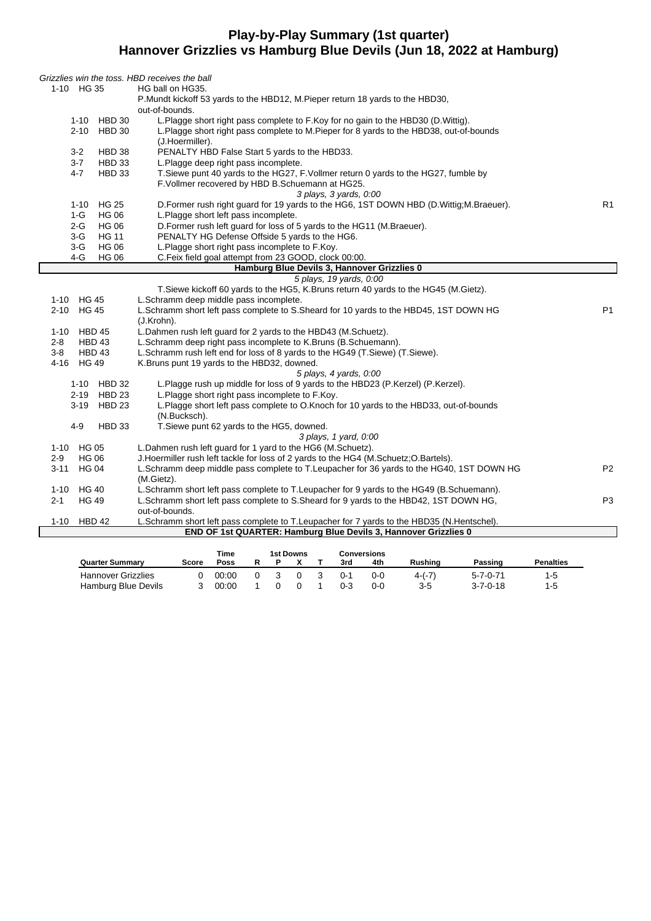#### **Play-by-Play Summary (1st quarter) Hannover Grizzlies vs Hamburg Blue Devils (Jun 18, 2022 at Hamburg)**

| 1-10 HG 35<br>P. Mundt kickoff 53 yards to the HBD12, M. Pieper return 18 yards to the HBD30,<br>out-of-bounds.<br>L.Plagge short right pass complete to F.Koy for no gain to the HBD30 (D.Wittig).<br>1-10 HBD 30<br>2-10 HBD 30<br>L.Plagge short right pass complete to M.Pieper for 8 yards to the HBD38, out-of-bounds<br>(J.Hoermiller).<br>PENALTY HBD False Start 5 yards to the HBD33.<br>$3-2$<br>HBD 38<br>3-7<br>HBD 33<br>L.Plagge deep right pass incomplete.<br>$4 - 7$<br>T. Siewe punt 40 yards to the HG27, F. Vollmer return 0 yards to the HG27, fumble by<br>HBD 33<br>F.Vollmer recovered by HBD B.Schuemann at HG25.<br>3 plays, 3 yards, 0:00<br>D. Former rush right guard for 19 yards to the HG6, 1ST DOWN HBD (D. Wittig; M. Braeuer).<br>R <sub>1</sub><br>1-10 HG 25<br>L.Plagge short left pass incomplete.<br>1-G<br><b>HG 06</b><br>D. Former rush left guard for loss of 5 yards to the HG11 (M. Braeuer).<br>$2 - G$<br><b>HG 06</b><br>PENALTY HG Defense Offside 5 yards to the HG6.<br><b>HG 11</b><br>3-G<br>L.Plagge short right pass incomplete to F.Koy.<br>3-G<br><b>HG 06</b><br>$4-G$<br>C.Feix field goal attempt from 23 GOOD, clock 00:00.<br><b>HG 06</b><br>Hamburg Blue Devils 3, Hannover Grizzlies 0<br>5 plays, 19 yards, 0:00<br>T. Siewe kickoff 60 yards to the HG5, K. Bruns return 40 yards to the HG45 (M. Gietz).<br>1-10 HG 45<br>L.Schramm deep middle pass incomplete.<br>P <sub>1</sub><br>2-10 HG 45<br>L.Schramm short left pass complete to S.Sheard for 10 yards to the HBD45, 1ST DOWN HG<br>(J.Krohn).<br>1-10 HBD 45<br>L.Dahmen rush left guard for 2 yards to the HBD43 (M.Schuetz).<br>L.Schramm deep right pass incomplete to K.Bruns (B.Schuemann).<br>$2 - 8$<br>HBD 43<br>L.Schramm rush left end for loss of 8 yards to the HG49 (T.Siewe) (T.Siewe).<br>3-8<br>HBD 43<br>4-16 HG 49<br>K. Bruns punt 19 yards to the HBD32, downed.<br>5 plays, 4 yards, 0:00<br>1-10 HBD 32<br>L.Plagge rush up middle for loss of 9 yards to the HBD23 (P.Kerzel) (P.Kerzel).<br>2-19 HBD 23<br>L.Plagge short right pass incomplete to F.Koy.<br>3-19 HBD 23<br>L.Plagge short left pass complete to O.Knoch for 10 yards to the HBD33, out-of-bounds<br>(N.Bucksch).<br>T.Siewe punt 62 yards to the HG5, downed.<br>$4 - 9$<br>HBD 33<br>3 plays, 1 yard, 0:00 |  | Grizzlies win the toss. HBD receives the ball               |  |
|--------------------------------------------------------------------------------------------------------------------------------------------------------------------------------------------------------------------------------------------------------------------------------------------------------------------------------------------------------------------------------------------------------------------------------------------------------------------------------------------------------------------------------------------------------------------------------------------------------------------------------------------------------------------------------------------------------------------------------------------------------------------------------------------------------------------------------------------------------------------------------------------------------------------------------------------------------------------------------------------------------------------------------------------------------------------------------------------------------------------------------------------------------------------------------------------------------------------------------------------------------------------------------------------------------------------------------------------------------------------------------------------------------------------------------------------------------------------------------------------------------------------------------------------------------------------------------------------------------------------------------------------------------------------------------------------------------------------------------------------------------------------------------------------------------------------------------------------------------------------------------------------------------------------------------------------------------------------------------------------------------------------------------------------------------------------------------------------------------------------------------------------------------------------------------------------------------------------------------------------------------------------------------------------------------------------------------------|--|-------------------------------------------------------------|--|
|                                                                                                                                                                                                                                                                                                                                                                                                                                                                                                                                                                                                                                                                                                                                                                                                                                                                                                                                                                                                                                                                                                                                                                                                                                                                                                                                                                                                                                                                                                                                                                                                                                                                                                                                                                                                                                                                                                                                                                                                                                                                                                                                                                                                                                                                                                                                      |  | HG ball on HG35.                                            |  |
|                                                                                                                                                                                                                                                                                                                                                                                                                                                                                                                                                                                                                                                                                                                                                                                                                                                                                                                                                                                                                                                                                                                                                                                                                                                                                                                                                                                                                                                                                                                                                                                                                                                                                                                                                                                                                                                                                                                                                                                                                                                                                                                                                                                                                                                                                                                                      |  |                                                             |  |
|                                                                                                                                                                                                                                                                                                                                                                                                                                                                                                                                                                                                                                                                                                                                                                                                                                                                                                                                                                                                                                                                                                                                                                                                                                                                                                                                                                                                                                                                                                                                                                                                                                                                                                                                                                                                                                                                                                                                                                                                                                                                                                                                                                                                                                                                                                                                      |  |                                                             |  |
|                                                                                                                                                                                                                                                                                                                                                                                                                                                                                                                                                                                                                                                                                                                                                                                                                                                                                                                                                                                                                                                                                                                                                                                                                                                                                                                                                                                                                                                                                                                                                                                                                                                                                                                                                                                                                                                                                                                                                                                                                                                                                                                                                                                                                                                                                                                                      |  |                                                             |  |
|                                                                                                                                                                                                                                                                                                                                                                                                                                                                                                                                                                                                                                                                                                                                                                                                                                                                                                                                                                                                                                                                                                                                                                                                                                                                                                                                                                                                                                                                                                                                                                                                                                                                                                                                                                                                                                                                                                                                                                                                                                                                                                                                                                                                                                                                                                                                      |  |                                                             |  |
|                                                                                                                                                                                                                                                                                                                                                                                                                                                                                                                                                                                                                                                                                                                                                                                                                                                                                                                                                                                                                                                                                                                                                                                                                                                                                                                                                                                                                                                                                                                                                                                                                                                                                                                                                                                                                                                                                                                                                                                                                                                                                                                                                                                                                                                                                                                                      |  |                                                             |  |
|                                                                                                                                                                                                                                                                                                                                                                                                                                                                                                                                                                                                                                                                                                                                                                                                                                                                                                                                                                                                                                                                                                                                                                                                                                                                                                                                                                                                                                                                                                                                                                                                                                                                                                                                                                                                                                                                                                                                                                                                                                                                                                                                                                                                                                                                                                                                      |  |                                                             |  |
|                                                                                                                                                                                                                                                                                                                                                                                                                                                                                                                                                                                                                                                                                                                                                                                                                                                                                                                                                                                                                                                                                                                                                                                                                                                                                                                                                                                                                                                                                                                                                                                                                                                                                                                                                                                                                                                                                                                                                                                                                                                                                                                                                                                                                                                                                                                                      |  |                                                             |  |
|                                                                                                                                                                                                                                                                                                                                                                                                                                                                                                                                                                                                                                                                                                                                                                                                                                                                                                                                                                                                                                                                                                                                                                                                                                                                                                                                                                                                                                                                                                                                                                                                                                                                                                                                                                                                                                                                                                                                                                                                                                                                                                                                                                                                                                                                                                                                      |  |                                                             |  |
|                                                                                                                                                                                                                                                                                                                                                                                                                                                                                                                                                                                                                                                                                                                                                                                                                                                                                                                                                                                                                                                                                                                                                                                                                                                                                                                                                                                                                                                                                                                                                                                                                                                                                                                                                                                                                                                                                                                                                                                                                                                                                                                                                                                                                                                                                                                                      |  |                                                             |  |
|                                                                                                                                                                                                                                                                                                                                                                                                                                                                                                                                                                                                                                                                                                                                                                                                                                                                                                                                                                                                                                                                                                                                                                                                                                                                                                                                                                                                                                                                                                                                                                                                                                                                                                                                                                                                                                                                                                                                                                                                                                                                                                                                                                                                                                                                                                                                      |  |                                                             |  |
|                                                                                                                                                                                                                                                                                                                                                                                                                                                                                                                                                                                                                                                                                                                                                                                                                                                                                                                                                                                                                                                                                                                                                                                                                                                                                                                                                                                                                                                                                                                                                                                                                                                                                                                                                                                                                                                                                                                                                                                                                                                                                                                                                                                                                                                                                                                                      |  |                                                             |  |
|                                                                                                                                                                                                                                                                                                                                                                                                                                                                                                                                                                                                                                                                                                                                                                                                                                                                                                                                                                                                                                                                                                                                                                                                                                                                                                                                                                                                                                                                                                                                                                                                                                                                                                                                                                                                                                                                                                                                                                                                                                                                                                                                                                                                                                                                                                                                      |  |                                                             |  |
|                                                                                                                                                                                                                                                                                                                                                                                                                                                                                                                                                                                                                                                                                                                                                                                                                                                                                                                                                                                                                                                                                                                                                                                                                                                                                                                                                                                                                                                                                                                                                                                                                                                                                                                                                                                                                                                                                                                                                                                                                                                                                                                                                                                                                                                                                                                                      |  |                                                             |  |
|                                                                                                                                                                                                                                                                                                                                                                                                                                                                                                                                                                                                                                                                                                                                                                                                                                                                                                                                                                                                                                                                                                                                                                                                                                                                                                                                                                                                                                                                                                                                                                                                                                                                                                                                                                                                                                                                                                                                                                                                                                                                                                                                                                                                                                                                                                                                      |  |                                                             |  |
|                                                                                                                                                                                                                                                                                                                                                                                                                                                                                                                                                                                                                                                                                                                                                                                                                                                                                                                                                                                                                                                                                                                                                                                                                                                                                                                                                                                                                                                                                                                                                                                                                                                                                                                                                                                                                                                                                                                                                                                                                                                                                                                                                                                                                                                                                                                                      |  |                                                             |  |
|                                                                                                                                                                                                                                                                                                                                                                                                                                                                                                                                                                                                                                                                                                                                                                                                                                                                                                                                                                                                                                                                                                                                                                                                                                                                                                                                                                                                                                                                                                                                                                                                                                                                                                                                                                                                                                                                                                                                                                                                                                                                                                                                                                                                                                                                                                                                      |  |                                                             |  |
|                                                                                                                                                                                                                                                                                                                                                                                                                                                                                                                                                                                                                                                                                                                                                                                                                                                                                                                                                                                                                                                                                                                                                                                                                                                                                                                                                                                                                                                                                                                                                                                                                                                                                                                                                                                                                                                                                                                                                                                                                                                                                                                                                                                                                                                                                                                                      |  |                                                             |  |
|                                                                                                                                                                                                                                                                                                                                                                                                                                                                                                                                                                                                                                                                                                                                                                                                                                                                                                                                                                                                                                                                                                                                                                                                                                                                                                                                                                                                                                                                                                                                                                                                                                                                                                                                                                                                                                                                                                                                                                                                                                                                                                                                                                                                                                                                                                                                      |  |                                                             |  |
|                                                                                                                                                                                                                                                                                                                                                                                                                                                                                                                                                                                                                                                                                                                                                                                                                                                                                                                                                                                                                                                                                                                                                                                                                                                                                                                                                                                                                                                                                                                                                                                                                                                                                                                                                                                                                                                                                                                                                                                                                                                                                                                                                                                                                                                                                                                                      |  |                                                             |  |
|                                                                                                                                                                                                                                                                                                                                                                                                                                                                                                                                                                                                                                                                                                                                                                                                                                                                                                                                                                                                                                                                                                                                                                                                                                                                                                                                                                                                                                                                                                                                                                                                                                                                                                                                                                                                                                                                                                                                                                                                                                                                                                                                                                                                                                                                                                                                      |  |                                                             |  |
|                                                                                                                                                                                                                                                                                                                                                                                                                                                                                                                                                                                                                                                                                                                                                                                                                                                                                                                                                                                                                                                                                                                                                                                                                                                                                                                                                                                                                                                                                                                                                                                                                                                                                                                                                                                                                                                                                                                                                                                                                                                                                                                                                                                                                                                                                                                                      |  |                                                             |  |
|                                                                                                                                                                                                                                                                                                                                                                                                                                                                                                                                                                                                                                                                                                                                                                                                                                                                                                                                                                                                                                                                                                                                                                                                                                                                                                                                                                                                                                                                                                                                                                                                                                                                                                                                                                                                                                                                                                                                                                                                                                                                                                                                                                                                                                                                                                                                      |  |                                                             |  |
|                                                                                                                                                                                                                                                                                                                                                                                                                                                                                                                                                                                                                                                                                                                                                                                                                                                                                                                                                                                                                                                                                                                                                                                                                                                                                                                                                                                                                                                                                                                                                                                                                                                                                                                                                                                                                                                                                                                                                                                                                                                                                                                                                                                                                                                                                                                                      |  |                                                             |  |
|                                                                                                                                                                                                                                                                                                                                                                                                                                                                                                                                                                                                                                                                                                                                                                                                                                                                                                                                                                                                                                                                                                                                                                                                                                                                                                                                                                                                                                                                                                                                                                                                                                                                                                                                                                                                                                                                                                                                                                                                                                                                                                                                                                                                                                                                                                                                      |  |                                                             |  |
|                                                                                                                                                                                                                                                                                                                                                                                                                                                                                                                                                                                                                                                                                                                                                                                                                                                                                                                                                                                                                                                                                                                                                                                                                                                                                                                                                                                                                                                                                                                                                                                                                                                                                                                                                                                                                                                                                                                                                                                                                                                                                                                                                                                                                                                                                                                                      |  |                                                             |  |
|                                                                                                                                                                                                                                                                                                                                                                                                                                                                                                                                                                                                                                                                                                                                                                                                                                                                                                                                                                                                                                                                                                                                                                                                                                                                                                                                                                                                                                                                                                                                                                                                                                                                                                                                                                                                                                                                                                                                                                                                                                                                                                                                                                                                                                                                                                                                      |  |                                                             |  |
|                                                                                                                                                                                                                                                                                                                                                                                                                                                                                                                                                                                                                                                                                                                                                                                                                                                                                                                                                                                                                                                                                                                                                                                                                                                                                                                                                                                                                                                                                                                                                                                                                                                                                                                                                                                                                                                                                                                                                                                                                                                                                                                                                                                                                                                                                                                                      |  |                                                             |  |
|                                                                                                                                                                                                                                                                                                                                                                                                                                                                                                                                                                                                                                                                                                                                                                                                                                                                                                                                                                                                                                                                                                                                                                                                                                                                                                                                                                                                                                                                                                                                                                                                                                                                                                                                                                                                                                                                                                                                                                                                                                                                                                                                                                                                                                                                                                                                      |  |                                                             |  |
|                                                                                                                                                                                                                                                                                                                                                                                                                                                                                                                                                                                                                                                                                                                                                                                                                                                                                                                                                                                                                                                                                                                                                                                                                                                                                                                                                                                                                                                                                                                                                                                                                                                                                                                                                                                                                                                                                                                                                                                                                                                                                                                                                                                                                                                                                                                                      |  |                                                             |  |
|                                                                                                                                                                                                                                                                                                                                                                                                                                                                                                                                                                                                                                                                                                                                                                                                                                                                                                                                                                                                                                                                                                                                                                                                                                                                                                                                                                                                                                                                                                                                                                                                                                                                                                                                                                                                                                                                                                                                                                                                                                                                                                                                                                                                                                                                                                                                      |  |                                                             |  |
|                                                                                                                                                                                                                                                                                                                                                                                                                                                                                                                                                                                                                                                                                                                                                                                                                                                                                                                                                                                                                                                                                                                                                                                                                                                                                                                                                                                                                                                                                                                                                                                                                                                                                                                                                                                                                                                                                                                                                                                                                                                                                                                                                                                                                                                                                                                                      |  |                                                             |  |
|                                                                                                                                                                                                                                                                                                                                                                                                                                                                                                                                                                                                                                                                                                                                                                                                                                                                                                                                                                                                                                                                                                                                                                                                                                                                                                                                                                                                                                                                                                                                                                                                                                                                                                                                                                                                                                                                                                                                                                                                                                                                                                                                                                                                                                                                                                                                      |  |                                                             |  |
| 1-10 HG 05                                                                                                                                                                                                                                                                                                                                                                                                                                                                                                                                                                                                                                                                                                                                                                                                                                                                                                                                                                                                                                                                                                                                                                                                                                                                                                                                                                                                                                                                                                                                                                                                                                                                                                                                                                                                                                                                                                                                                                                                                                                                                                                                                                                                                                                                                                                           |  | L.Dahmen rush left guard for 1 yard to the HG6 (M.Schuetz). |  |
| $2 - 9$<br><b>HG 06</b><br>J. Hoermiller rush left tackle for loss of 2 yards to the HG4 (M. Schuetz; O. Bartels).                                                                                                                                                                                                                                                                                                                                                                                                                                                                                                                                                                                                                                                                                                                                                                                                                                                                                                                                                                                                                                                                                                                                                                                                                                                                                                                                                                                                                                                                                                                                                                                                                                                                                                                                                                                                                                                                                                                                                                                                                                                                                                                                                                                                                   |  |                                                             |  |
| 3-11 HG 04<br>L.Schramm deep middle pass complete to T.Leupacher for 36 yards to the HG40, 1ST DOWN HG<br>P <sub>2</sub><br>(M.Gietz).                                                                                                                                                                                                                                                                                                                                                                                                                                                                                                                                                                                                                                                                                                                                                                                                                                                                                                                                                                                                                                                                                                                                                                                                                                                                                                                                                                                                                                                                                                                                                                                                                                                                                                                                                                                                                                                                                                                                                                                                                                                                                                                                                                                               |  |                                                             |  |
| L.Schramm short left pass complete to T.Leupacher for 9 yards to the HG49 (B.Schuemann).<br>1-10 HG 40                                                                                                                                                                                                                                                                                                                                                                                                                                                                                                                                                                                                                                                                                                                                                                                                                                                                                                                                                                                                                                                                                                                                                                                                                                                                                                                                                                                                                                                                                                                                                                                                                                                                                                                                                                                                                                                                                                                                                                                                                                                                                                                                                                                                                               |  |                                                             |  |
| L.Schramm short left pass complete to S.Sheard for 9 yards to the HBD42, 1ST DOWN HG,<br>P <sub>3</sub><br>2-1<br><b>HG 49</b>                                                                                                                                                                                                                                                                                                                                                                                                                                                                                                                                                                                                                                                                                                                                                                                                                                                                                                                                                                                                                                                                                                                                                                                                                                                                                                                                                                                                                                                                                                                                                                                                                                                                                                                                                                                                                                                                                                                                                                                                                                                                                                                                                                                                       |  |                                                             |  |
| out-of-bounds.                                                                                                                                                                                                                                                                                                                                                                                                                                                                                                                                                                                                                                                                                                                                                                                                                                                                                                                                                                                                                                                                                                                                                                                                                                                                                                                                                                                                                                                                                                                                                                                                                                                                                                                                                                                                                                                                                                                                                                                                                                                                                                                                                                                                                                                                                                                       |  |                                                             |  |
| $1 - 10$<br>HBD 42<br>L.Schramm short left pass complete to T.Leupacher for 7 yards to the HBD35 (N.Hentschel).                                                                                                                                                                                                                                                                                                                                                                                                                                                                                                                                                                                                                                                                                                                                                                                                                                                                                                                                                                                                                                                                                                                                                                                                                                                                                                                                                                                                                                                                                                                                                                                                                                                                                                                                                                                                                                                                                                                                                                                                                                                                                                                                                                                                                      |  |                                                             |  |
| END OF 1st QUARTER: Hamburg Blue Devils 3, Hannover Grizzlies 0                                                                                                                                                                                                                                                                                                                                                                                                                                                                                                                                                                                                                                                                                                                                                                                                                                                                                                                                                                                                                                                                                                                                                                                                                                                                                                                                                                                                                                                                                                                                                                                                                                                                                                                                                                                                                                                                                                                                                                                                                                                                                                                                                                                                                                                                      |  |                                                             |  |

|                           |       | <b>Time</b> |  | 1st Downs |     | Conversions |         |                |                  |                  |
|---------------------------|-------|-------------|--|-----------|-----|-------------|---------|----------------|------------------|------------------|
| <b>Quarter Summary</b>    | Score | Poss        |  |           |     | 3rd         | 4th     | <b>Rushing</b> | Passing          | <b>Penalties</b> |
| <b>Hannover Grizzlies</b> |       | 00:00       |  | 0         | - 3 | $0 - 1$     | $0 - 0$ | 4-(-7)         | 5-7-0-71         | 1-5              |
| Hamburg Blue Devils       |       | 00:00       |  |           |     | 0-3         | $0 - 0$ | $3-5$          | $3 - 7 - 0 - 18$ | 1-5              |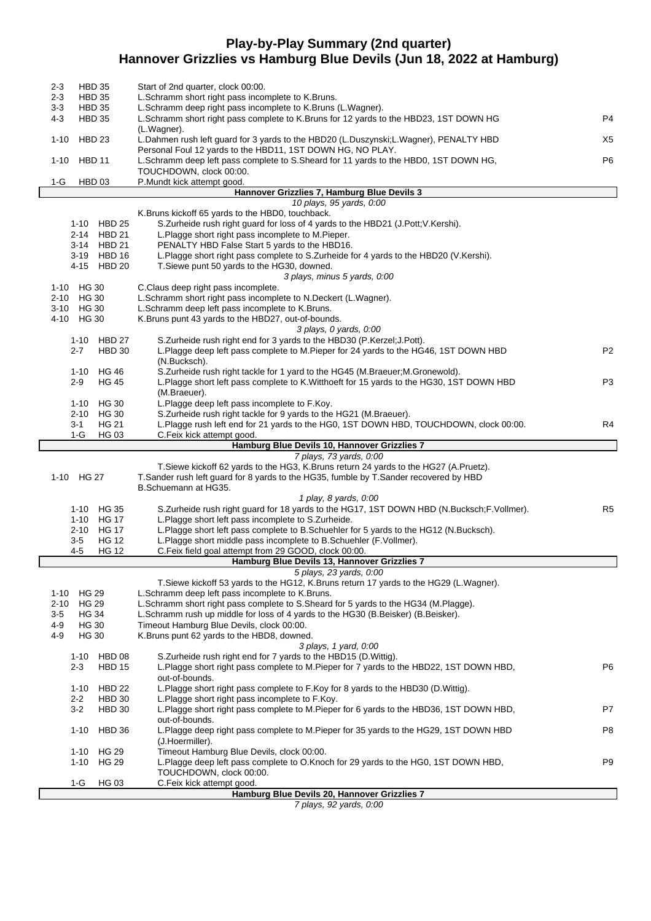# **Play-by-Play Summary (2nd quarter) Hannover Grizzlies vs Hamburg Blue Devils (Jun 18, 2022 at Hamburg)**

| <b>HBD 35</b><br>2-3                               | Start of 2nd quarter, clock 00:00.                                                                                                                                   |                |
|----------------------------------------------------|----------------------------------------------------------------------------------------------------------------------------------------------------------------------|----------------|
| $2 - 3$<br><b>HBD 35</b><br>$3-3$<br><b>HBD 35</b> | L.Schramm short right pass incomplete to K.Bruns.<br>L.Schramm deep right pass incomplete to K.Bruns (L.Wagner).                                                     |                |
| 4-3<br><b>HBD 35</b>                               | L.Schramm short right pass complete to K.Bruns for 12 yards to the HBD23, 1ST DOWN HG<br>(L.Wagner).                                                                 | P4             |
| <b>HBD 23</b><br>1-10                              | L.Dahmen rush left guard for 3 yards to the HBD20 (L.Duszynski;L.Wagner), PENALTY HBD<br>Personal Foul 12 yards to the HBD11, 1ST DOWN HG, NO PLAY.                  | X5             |
| 1-10<br><b>HBD 11</b>                              | L.Schramm deep left pass complete to S.Sheard for 11 yards to the HBD0, 1ST DOWN HG,                                                                                 | P <sub>6</sub> |
| HBD <sub>03</sub><br>$1-G$                         | TOUCHDOWN, clock 00:00.<br>P.Mundt kick attempt good.                                                                                                                |                |
|                                                    | Hannover Grizzlies 7, Hamburg Blue Devils 3                                                                                                                          |                |
|                                                    | 10 plays, 95 yards, 0:00                                                                                                                                             |                |
|                                                    | K.Bruns kickoff 65 yards to the HBD0, touchback.                                                                                                                     |                |
| 1-10 HBD 25                                        | S.Zurheide rush right guard for loss of 4 yards to the HBD21 (J.Pott; V.Kershi).<br>L.Plagge short right pass incomplete to M.Pieper.                                |                |
| 2-14 HBD 21<br>3-14 HBD 21                         | PENALTY HBD False Start 5 yards to the HBD16.                                                                                                                        |                |
| 3-19 HBD 16                                        | L.Plagge short right pass complete to S.Zurheide for 4 yards to the HBD20 (V.Kershi).                                                                                |                |
| 4-15 HBD 20                                        | T.Siewe punt 50 yards to the HG30, downed.                                                                                                                           |                |
|                                                    | 3 plays, minus 5 yards, 0:00                                                                                                                                         |                |
| 1-10 HG 30                                         | C.Claus deep right pass incomplete.                                                                                                                                  |                |
| 2-10 HG 30                                         | L.Schramm short right pass incomplete to N.Deckert (L.Wagner).                                                                                                       |                |
| 3-10 HG 30                                         | L.Schramm deep left pass incomplete to K.Bruns.                                                                                                                      |                |
| 4-10 HG 30                                         | K.Bruns punt 43 yards to the HBD27, out-of-bounds.<br>3 plays, 0 yards, 0:00                                                                                         |                |
| 1-10 HBD 27                                        | S.Zurheide rush right end for 3 yards to the HBD30 (P.Kerzel; J.Pott).                                                                                               |                |
| 2-7                                                | <b>HBD 30</b><br>L.Plagge deep left pass complete to M.Pieper for 24 yards to the HG46, 1ST DOWN HBD                                                                 | P <sub>2</sub> |
|                                                    | (N.Bucksch).                                                                                                                                                         |                |
| 1-10 HG 46                                         | S. Zurheide rush right tackle for 1 yard to the HG45 (M. Braeuer; M. Gronewold).                                                                                     |                |
| $2-9$                                              | L.Plagge short left pass complete to K.Witthoeft for 15 yards to the HG30, 1ST DOWN HBD<br>HG 45                                                                     | P3             |
|                                                    | (M.Braeuer).                                                                                                                                                         |                |
| 1-10<br>2-10 HG 30                                 | L.Plagge deep left pass incomplete to F.Koy.<br>HG 30<br>S.Zurheide rush right tackle for 9 yards to the HG21 (M.Braeuer).                                           |                |
| 3-1                                                | L.Plagge rush left end for 21 yards to the HG0, 1ST DOWN HBD, TOUCHDOWN, clock 00:00.<br><b>HG 21</b>                                                                | R4             |
| 1-G                                                | <b>HG 03</b><br>C.Feix kick attempt good.                                                                                                                            |                |
|                                                    |                                                                                                                                                                      |                |
|                                                    | Hamburg Blue Devils 10, Hannover Grizzlies 7                                                                                                                         |                |
|                                                    | 7 plays, 73 yards, 0:00                                                                                                                                              |                |
|                                                    | T.Siewe kickoff 62 yards to the HG3, K.Bruns return 24 yards to the HG27 (A.Pruetz).                                                                                 |                |
| 1-10 HG 27                                         | T. Sander rush left guard for 8 yards to the HG35, fumble by T. Sander recovered by HBD                                                                              |                |
|                                                    | B.Schuemann at HG35.                                                                                                                                                 |                |
|                                                    | 1 play, 8 yards, 0:00                                                                                                                                                |                |
| 1-10 HG 35<br>1-10                                 | S.Zurheide rush right guard for 18 yards to the HG17, 1ST DOWN HBD (N.Bucksch;F.Vollmer).                                                                            | R <sub>5</sub> |
| 2-10                                               | <b>HG 17</b><br>L.Plagge short left pass incomplete to S.Zurheide.<br>L.Plagge short left pass complete to B.Schuehler for 5 yards to the HG12 (N.Bucksch).<br>HG 17 |                |
| 35                                                 | <b>HG 12</b><br>L.Plagge short middle pass incomplete to B.Schuehler (F.Vollmer).                                                                                    |                |
| $4 - 5$                                            | <b>HG 12</b><br>C.Feix field goal attempt from 29 GOOD, clock 00:00.                                                                                                 |                |
|                                                    | Hamburg Blue Devils 13, Hannover Grizzlies 7                                                                                                                         |                |
|                                                    | 5 plays, 23 yards, 0:00                                                                                                                                              |                |
| 1-10                                               | T. Siewe kickoff 53 yards to the HG12, K. Bruns return 17 yards to the HG29 (L. Wagner).                                                                             |                |
| HG 29<br>$2 - 10$<br>HG 29                         | L.Schramm deep left pass incomplete to K.Bruns.<br>L.Schramm short right pass complete to S.Sheard for 5 yards to the HG34 (M.Plagge).                               |                |
| $3-5$<br><b>HG 34</b>                              | L.Schramm rush up middle for loss of 4 yards to the HG30 (B.Beisker) (B.Beisker).                                                                                    |                |
| $4 - 9$<br>HG 30                                   | Timeout Hamburg Blue Devils, clock 00:00.                                                                                                                            |                |
| 4-9<br><b>HG 30</b>                                | K.Bruns punt 62 yards to the HBD8, downed.                                                                                                                           |                |
|                                                    | 3 plays, 1 yard, 0:00                                                                                                                                                |                |
| 1-10 HBD 08                                        | S. Zurheide rush right end for 7 yards to the HBD15 (D. Wittig).                                                                                                     |                |
| 2-3                                                | L.Plagge short right pass complete to M.Pieper for 7 yards to the HBD22, 1ST DOWN HBD,<br><b>HBD 15</b>                                                              | P6             |
| 1-10                                               | out-of-bounds.<br><b>HBD 22</b><br>L.Plagge short right pass complete to F.Koy for 8 yards to the HBD30 (D.Wittig).                                                  |                |
| $2 - 2$                                            | HBD 30<br>L.Plagge short right pass incomplete to F.Koy.                                                                                                             |                |
| $3 - 2$                                            | <b>HBD 30</b><br>L.Plagge short right pass complete to M.Pieper for 6 yards to the HBD36, 1ST DOWN HBD,                                                              | P7             |
|                                                    | out-of-bounds.                                                                                                                                                       |                |
| $1 - 10$                                           | <b>HBD 36</b><br>L.Plagge deep right pass complete to M.Pieper for 35 yards to the HG29, 1ST DOWN HBD                                                                | P8             |
|                                                    | (J.Hoermiller).                                                                                                                                                      |                |
| 1-10<br>$1 - 10$                                   | Timeout Hamburg Blue Devils, clock 00:00.<br><b>HG 29</b><br><b>HG 29</b>                                                                                            | P <sub>9</sub> |
|                                                    | L.Plagge deep left pass complete to O.Knoch for 29 yards to the HG0, 1ST DOWN HBD,<br>TOUCHDOWN, clock 00:00.                                                        |                |
| 1-G                                                | <b>HG 03</b><br>C.Feix kick attempt good.                                                                                                                            |                |

7 plays, 92 yards, 0:00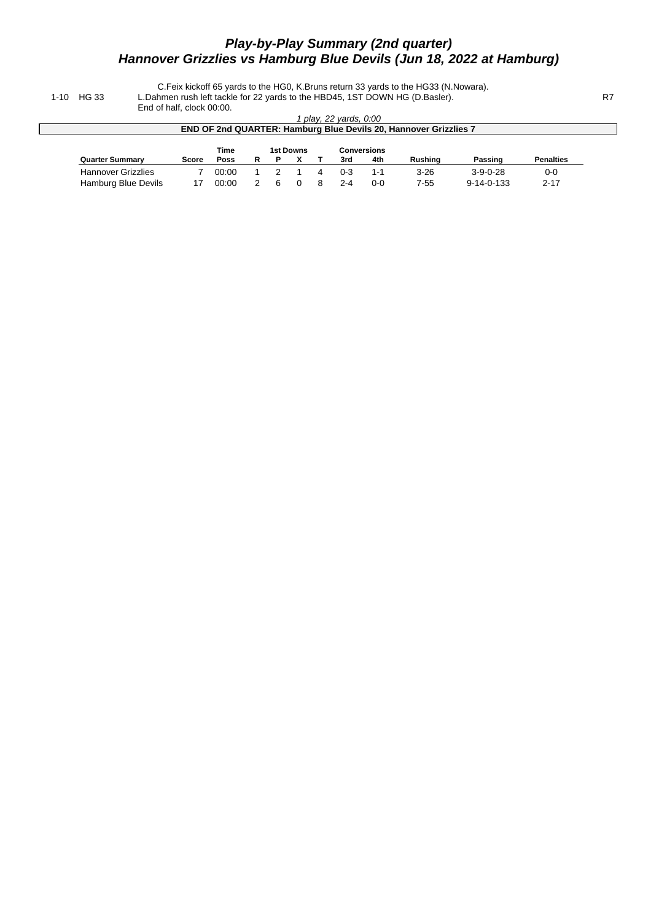# **Play-by-Play Summary (2nd quarter) Hannover Grizzlies vs Hamburg Blue Devils (Jun 18, 2022 at Hamburg)**

C.Feix kickoff 65 yards to the HG0, K.Bruns return 33 yards to the HG33 (N.Nowara). 1-10 HG 33 L.Dahmen rush left tackle for 22 yards to the HBD45, 1ST DOWN HG (D.Basler). R7 End of half, clock 00:00.

1 play, 22 yards, 0:00 **END OF 2nd QUARTER: Hamburg Blue Devils 20, Hannover Grizzlies 7 Time 1st Downs Conversions Quarter Summary Score Poss R P X T 3rd 4th Rushing Passing Penalties** Hannover Grizzlies 7 00:00 1 2 1 4 0-3 1-1 3-26 3-9-0-28 0-0<br>Hamburg Blue Devils 17 00:00 2 6 0 8 2-4 0-0 7-55 9-14-0-133 2-17 Hamburg Blue Devils 17 00:00 2 6 0 8 2-4 0-0 7-55 9-14-0-133 2-17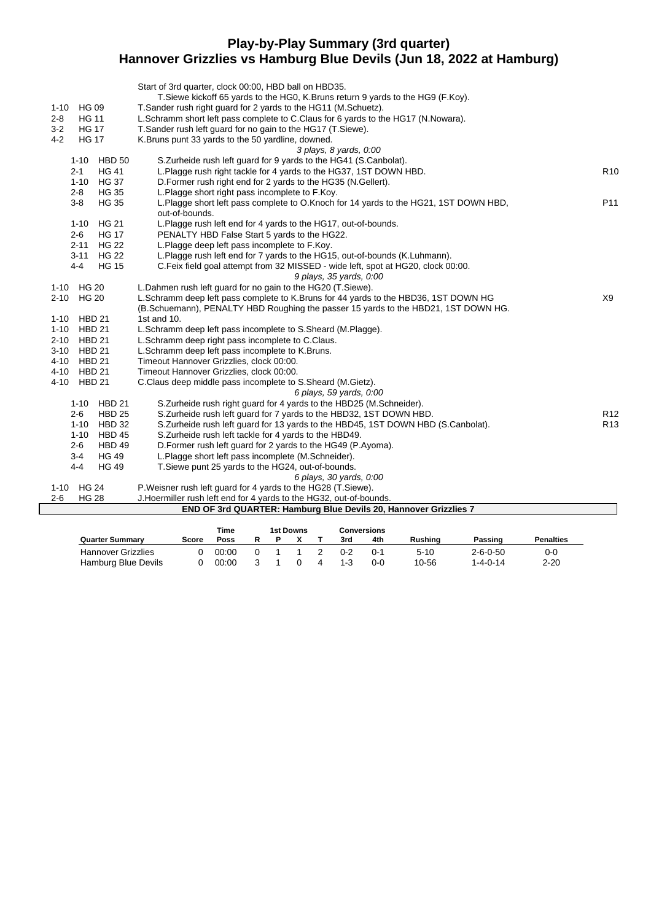### **Play-by-Play Summary (3rd quarter) Hannover Grizzlies vs Hamburg Blue Devils (Jun 18, 2022 at Hamburg)**

|                           | Start of 3rd quarter, clock 00:00, HBD ball on HBD35.                                                  |                 |
|---------------------------|--------------------------------------------------------------------------------------------------------|-----------------|
|                           | T. Siewe kickoff 65 yards to the HG0, K. Bruns return 9 yards to the HG9 (F. Koy).                     |                 |
| <b>HG 09</b><br>$1 - 10$  | T. Sander rush right guard for 2 yards to the HG11 (M. Schuetz).                                       |                 |
| <b>HG 11</b><br>$2 - 8$   | L.Schramm short left pass complete to C.Claus for 6 yards to the HG17 (N.Nowara).                      |                 |
| $3 - 2$<br><b>HG 17</b>   | T.Sander rush left guard for no gain to the HG17 (T.Siewe).                                            |                 |
| $4 - 2$<br><b>HG 17</b>   | K.Bruns punt 33 yards to the 50 yardline, downed.                                                      |                 |
|                           | 3 plays, 8 yards, 0:00                                                                                 |                 |
| 1-10 HBD 50               | S.Zurheide rush left guard for 9 yards to the HG41 (S.Canbolat).                                       |                 |
| <b>HG 41</b><br>$2 - 1$   | L.Plagge rush right tackle for 4 yards to the HG37, 1ST DOWN HBD.                                      | R <sub>10</sub> |
| 1-10 HG 37                | D. Former rush right end for 2 yards to the HG35 (N. Gellert).                                         |                 |
| $2 - 8$<br><b>HG 35</b>   | L.Plagge short right pass incomplete to F.Koy.                                                         |                 |
| $3-8$<br><b>HG 35</b>     | L.Plagge short left pass complete to O.Knoch for 14 yards to the HG21, 1ST DOWN HBD,<br>out-of-bounds. | P11             |
| HG 21<br>$1 - 10$         | L.Plagge rush left end for 4 yards to the HG17, out-of-bounds.                                         |                 |
| $2 - 6$<br><b>HG 17</b>   | PENALTY HBD False Start 5 yards to the HG22.                                                           |                 |
| 2-11 HG 22                | L.Plagge deep left pass incomplete to F.Koy.                                                           |                 |
| <b>HG 22</b><br>$3 - 11$  | L.Plagge rush left end for 7 yards to the HG15, out-of-bounds (K.Luhmann).                             |                 |
| $4 - 4$<br><b>HG 15</b>   | C.Feix field goal attempt from 32 MISSED - wide left, spot at HG20, clock 00:00.                       |                 |
|                           | 9 plays, 35 yards, 0:00                                                                                |                 |
| 1-10 HG 20                | L.Dahmen rush left guard for no gain to the HG20 (T.Siewe).                                            |                 |
| 2-10 HG 20                | L.Schramm deep left pass complete to K.Bruns for 44 yards to the HBD36, 1ST DOWN HG                    | X9              |
|                           | (B.Schuemann), PENALTY HBD Roughing the passer 15 yards to the HBD21, 1ST DOWN HG.                     |                 |
| 1-10 HBD 21               | 1st and 10.                                                                                            |                 |
| 1-10 HBD 21               | L.Schramm deep left pass incomplete to S.Sheard (M.Plagge).                                            |                 |
| 2-10 HBD 21               | L.Schramm deep right pass incomplete to C.Claus.                                                       |                 |
| 3-10 HBD 21               | L.Schramm deep left pass incomplete to K.Bruns.                                                        |                 |
| 4-10 HBD 21               | Timeout Hannover Grizzlies, clock 00:00.                                                               |                 |
| 4-10 HBD 21               | Timeout Hannover Grizzlies, clock 00:00.                                                               |                 |
| $4 - 10$<br><b>HBD 21</b> | C.Claus deep middle pass incomplete to S.Sheard (M.Gietz).                                             |                 |
|                           | 6 plays, 59 yards, 0:00                                                                                |                 |
| 1-10 HBD 21               | S. Zurheide rush right guard for 4 yards to the HBD25 (M. Schneider).                                  |                 |
| <b>HBD 25</b><br>$2 - 6$  | S. Zurheide rush left guard for 7 yards to the HBD32, 1ST DOWN HBD.                                    | R <sub>12</sub> |
| $1 - 10$<br><b>HBD 32</b> | S. Zurheide rush left quard for 13 yards to the HBD45, 1ST DOWN HBD (S. Canbolat).                     | R <sub>13</sub> |
| <b>HBD 45</b><br>$1 - 10$ | S. Zurheide rush left tackle for 4 yards to the HBD49.                                                 |                 |
| $2 - 6$<br>HBD 49         | D. Former rush left quard for 2 yards to the HG49 (P. Ayoma).                                          |                 |
| <b>HG 49</b><br>$3 - 4$   | L.Plagge short left pass incomplete (M.Schneider).                                                     |                 |
| $4 - 4$<br><b>HG 49</b>   | T. Siewe punt 25 yards to the HG24, out-of-bounds.                                                     |                 |
|                           | 6 plays, 30 yards, 0:00                                                                                |                 |
| 1-10 HG 24                | P. Weisner rush left guard for 4 yards to the HG28 (T. Siewe).                                         |                 |
| $2 - 6$<br><b>HG 28</b>   | J. Hoermiller rush left end for 4 yards to the HG32, out-of-bounds.                                    |                 |
|                           | END OF 3rd QUARTER: Hamburg Blue Devils 20, Hannover Grizzlies 7                                       |                 |

|                           |       | Time  |  | 1st Downs |     | Conversions |         |                  |                  |
|---------------------------|-------|-------|--|-----------|-----|-------------|---------|------------------|------------------|
| <b>Quarter Summary</b>    | Score | Poss  |  |           | 3rd | 4th         | Rushina | Passing          | <b>Penalties</b> |
| <b>Hannover Grizzlies</b> |       | 00:00 |  |           | በ-2 | $() - 1$    | 5-10    | $2 - 6 - 0 - 50$ | 0-0              |
| Hamburg Blue Devils       |       | 00:00 |  |           | 1-3 | ი-ი         | 10-56   | $1 - 4 - 0 - 14$ | $2 - 20$         |